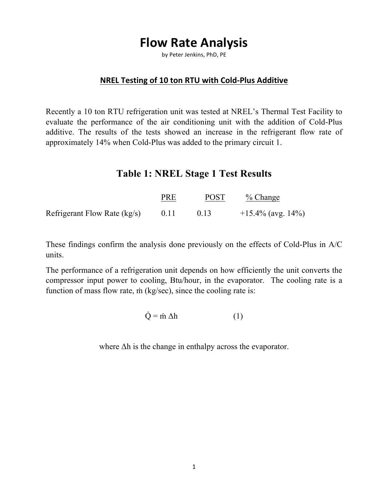# **Flow Rate Analysis**

by Peter Jenkins, PhD, PE

#### **NREL Testing of 10 ton RTU with Cold-Plus Additive**

Recently a 10 ton RTU refrigeration unit was tested at NREL's Thermal Test Facility to evaluate the performance of the air conditioning unit with the addition of Cold-Plus additive. The results of the tests showed an increase in the refrigerant flow rate of approximately 14% when Cold-Plus was added to the primary circuit 1.

### **Table 1: NREL Stage 1 Test Results**

|                                | PRE | <b>POST</b> | $\%$ Change          |
|--------------------------------|-----|-------------|----------------------|
| Refrigerant Flow Rate $(kg/s)$ |     |             | $+15.4\%$ (avg. 14%) |

These findings confirm the analysis done previously on the effects of Cold-Plus in A/C units.

The performance of a refrigeration unit depends on how efficiently the unit converts the compressor input power to cooling, Btu/hour, in the evaporator. The cooling rate is a function of mass flow rate, m (kg/sec), since the cooling rate is:

$$
\dot{Q} = \dot{m} \, \Delta h \tag{1}
$$

where Δh is the change in enthalpy across the evaporator.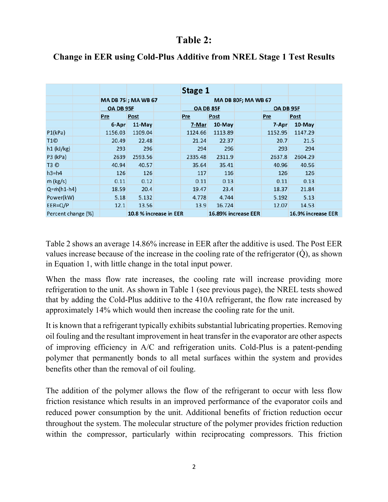## **Table 2:**

|                    |                     |                        |                     | Stage 1 |                     |           |         |                    |  |
|--------------------|---------------------|------------------------|---------------------|---------|---------------------|-----------|---------|--------------------|--|
|                    | MA DB 75 ; MA WB 67 |                        | MA DB 80F; MA WB 67 |         |                     |           |         |                    |  |
|                    | OA DB 95F           |                        | OA DB 85F           |         |                     | OA DB 95F |         |                    |  |
|                    | Pre                 | Post                   |                     | Pre     | Post                |           | Pre     | Post               |  |
|                    | 6-Apr               | 11-May                 |                     | 7-Mar   | 10-May              |           | 7-Apr   | $10-May$           |  |
| P1(kPa)            | 1156.03             | 1109.04                |                     | 1124.66 | 1113.89             |           | 1152.95 | 1147.29            |  |
| T <sub>1</sub> ©   | 20.49               | 22.48                  |                     | 21.24   | 22.37               |           | 20.7    | 21.5               |  |
| $h1$ (kJ/kg)       | 293                 | 296                    |                     | 294     | 296                 |           | 293     | 294                |  |
| $P3$ (kPa)         | 2639                | 2593.56                |                     | 2335.48 | 2311.9              |           | 2637.8  | 2604.29            |  |
| T3 ©               | 40.94               | 40.57                  |                     | 35.64   | 35.41               |           | 40.96   | 40.56              |  |
| $h3=h4$            | 126                 | 126                    |                     | 117     | 116                 |           | 126     | 126                |  |
| m (kg/s)           | 0.11                | 0.12                   |                     | 0.11    | 0.13                |           | 0.11    | 0.13               |  |
| $Q = m(h1-h4)$     | 18.59               | 20.4                   |                     | 19.47   | 23.4                |           | 18.37   | 21.84              |  |
| Power(kW)          | 5.18                | 5.132                  |                     | 4.778   | 4.744               |           | 5.192   | 5.13               |  |
| $EER=Q/P$          | 12.1                | 13.56                  |                     | 13.9    | 16.724              |           | 12.07   | 14.53              |  |
| Percent change (%) |                     | 10.8 % increase in EER |                     |         | 16.89% increase EER |           |         | 16.9% increase EER |  |

#### **Change in EER using Cold-Plus Additive from NREL Stage 1 Test Results**

Table 2 shows an average 14.86% increase in EER after the additive is used. The Post EER values increase because of the increase in the cooling rate of the refrigerator  $(Q)$ , as shown in Equation 1, with little change in the total input power.

When the mass flow rate increases, the cooling rate will increase providing more refrigeration to the unit. As shown in Table 1 (see previous page), the NREL tests showed that by adding the Cold-Plus additive to the 410A refrigerant, the flow rate increased by approximately 14% which would then increase the cooling rate for the unit.

It is known that a refrigerant typically exhibits substantial lubricating properties. Removing oil fouling and the resultant improvement in heat transfer in the evaporator are other aspects of improving efficiency in A/C and refrigeration units. Cold-Plus is a patent-pending polymer that permanently bonds to all metal surfaces within the system and provides benefits other than the removal of oil fouling.

The addition of the polymer allows the flow of the refrigerant to occur with less flow friction resistance which results in an improved performance of the evaporator coils and reduced power consumption by the unit. Additional benefits of friction reduction occur throughout the system. The molecular structure of the polymer provides friction reduction within the compressor, particularly within reciprocating compressors. This friction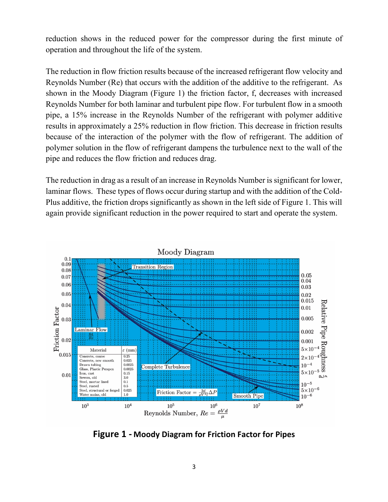reduction shows in the reduced power for the compressor during the first minute of operation and throughout the life of the system.

The reduction in flow friction results because of the increased refrigerant flow velocity and Reynolds Number (Re) that occurs with the addition of the additive to the refrigerant. As shown in the Moody Diagram (Figure 1) the friction factor, f, decreases with increased Reynolds Number for both laminar and turbulent pipe flow. For turbulent flow in a smooth pipe, a 15% increase in the Reynolds Number of the refrigerant with polymer additive results in approximately a 25% reduction in flow friction. This decrease in friction results because of the interaction of the polymer with the flow of refrigerant. The addition of polymer solution in the flow of refrigerant dampens the turbulence next to the wall of the pipe and reduces the flow friction and reduces drag.

The reduction in drag as a result of an increase in Reynolds Number is significant for lower, laminar flows. These types of flows occur during startup and with the addition of the Cold-Plus additive, the friction drops significantly as shown in the left side of Figure 1. This will again provide significant reduction in the power required to start and operate the system.



**Figure 1 - Moody Diagram for Friction Factor for Pipes**